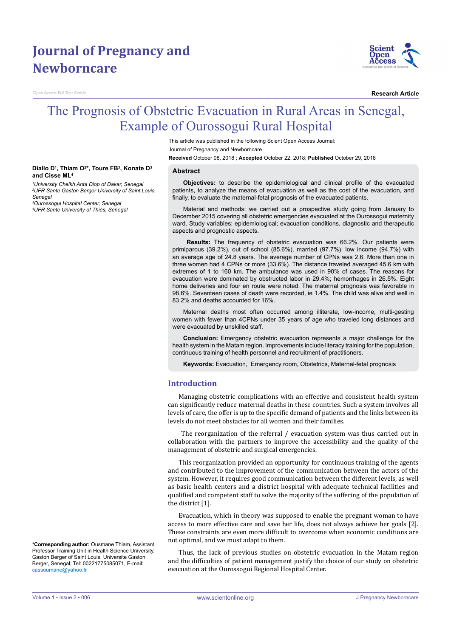# **Journal of Pregnancy and Newborncare**

**Diallo D1 , Thiam O2 \*, Toure FB3 , Konate D3**

*1 University Cheikh Anta Diop of Dakar, Senegal 2 UFR Sante Gaston Berger University of Saint Louis,* 

*3 Ourossogui Hospital Center, Senegal 4 UFR Sante University of Thiès, Senegal*

Open Access Full Text Article

**and Cisse ML4**

*Senegal*



**Research Article**

# The Prognosis of Obstetric Evacuation in Rural Areas in Senegal, Example of Ourossogui Rural Hospital

This article was published in the following Scient Open Access Journal: Journal of Pregnancy and Newborncare

**Received** October 08, 2018 ; **Accepted** October 22, 2018; **Published** October 29, 2018

#### **Abstract**

**Objectives:** to describe the epidemiological and clinical profile of the evacuated patients, to analyze the means of evacuation as well as the cost of the evacuation, and finally, to evaluate the maternal-fetal prognosis of the evacuated patients.

Material and methods: we carried out a prospective study going from January to December 2015 covering all obstetric emergencies evacuated at the Ourossogui maternity ward. Study variables: epidemiological; evacuation conditions, diagnostic and therapeutic aspects and prognostic aspects.

**Results:** The frequency of obstetric evacuation was 66.2%. Our patients were primiparous (39.2%), out of school (85.6%), married (97.7%), low income (94.7%) with an average age of 24.8 years. The average number of CPNs was 2.6. More than one in three women had 4 CPNs or more (33.6%). The distance traveled averaged 45.6 km with extremes of 1 to 160 km. The ambulance was used in 90% of cases. The reasons for evacuation were dominated by obstructed labor in 29.4%; hemorrhages in 26.5%. Eight home deliveries and four en route were noted. The maternal prognosis was favorable in 98.6%. Seventeen cases of death were recorded, ie 1.4%. The child was alive and well in 83.2% and deaths accounted for 16%.

Maternal deaths most often occurred among illiterate, low-income, multi-gesting women with fewer than 4CPNs under 35 years of age who traveled long distances and were evacuated by unskilled staff.

**Conclusion:** Emergency obstetric evacuation represents a major challenge for the health system in the Matam region. Improvements include literacy training for the population, continuous training of health personnel and recruitment of practitioners.

**Keywords:** Evacuation, Emergency room, Obstetrics, Maternal-fetal prognosis

## **Introduction**

Managing obstetric complications with an effective and consistent health system can significantly reduce maternal deaths in these countries. Such a system involves all levels of care, the offer is up to the specific demand of patients and the links between its levels do not meet obstacles for all women and their families.

The reorganization of the referral / evacuation system was thus carried out in collaboration with the partners to improve the accessibility and the quality of the management of obstetric and surgical emergencies.

This reorganization provided an opportunity for continuous training of the agents and contributed to the improvement of the communication between the actors of the system. However, it requires good communication between the different levels, as well as basic health centers and a district hospital with adequate technical facilities and qualified and competent staff to solve the majority of the suffering of the population of the district [1].

Evacuation, which in theory was supposed to enable the pregnant woman to have access to more effective care and save her life, does not always achieve her goals [2]. These constraints are even more difficult to overcome when economic conditions are not optimal, and we must adapt to them.

Thus, the lack of previous studies on obstetric evacuation in the Matam region and the difficulties of patient management justify the choice of our study on obstetric evacuation at the Ourossogui Regional Hospital Center.

**\*Corresponding author:** Ousmane Thiam, Assistant Professor Training Unit in Health Science University, Gaston Berger of Saint Louis. Universite Gaston Berger, Senegal; Tel: 00221775085071, E-mail: cassoumane@yahoo.fr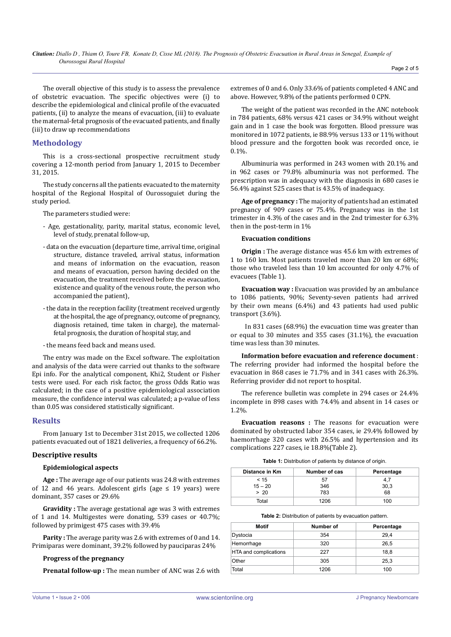The overall objective of this study is to assess the prevalence of obstetric evacuation. The specific objectives were (i) to describe the epidemiological and clinical profile of the evacuated patients, (ii) to analyze the means of evacuation, (iii) to evaluate the maternal-fetal prognosis of the evacuated patients, and finally (iii) to draw up recommendations

# **Methodology**

This is a cross-sectional prospective recruitment study covering a 12-month period from January 1, 2015 to December 31, 2015.

The study concerns all the patients evacuated to the maternity hospital of the Regional Hospital of Ourossoguiet during the study period.

The parameters studied were:

- Age, gestationality, parity, marital status, economic level, level of study, prenatal follow-up,
- data on the evacuation (departure time, arrival time, original structure, distance traveled, arrival status, information and means of information on the evacuation, reason and means of evacuation, person having decided on the evacuation, the treatment received before the evacuation, existence and quality of the venous route, the person who accompanied the patient),
- the data in the reception facility (treatment received urgently at the hospital, the age of pregnancy, outcome of pregnancy, diagnosis retained, time taken in charge), the maternalfetal prognosis, the duration of hospital stay, and
- the means feed back and means used.

The entry was made on the Excel software. The exploitation and analysis of the data were carried out thanks to the software Epi info. For the analytical component, Khi2, Student or Fisher tests were used. For each risk factor, the gross Odds Ratio was calculated; in the case of a positive epidemiological association measure, the confidence interval was calculated; a p-value of less than 0.05 was considered statistically significant.

## **Results**

From January 1st to December 31st 2015, we collected 1206 patients evacuated out of 1821 deliveries, a frequency of 66.2%.

#### **Descriptive results**

### **Epidemiological aspects**

**Age :** The average age of our patients was 24.8 with extremes of 12 and 46 years. Adolescent girls (age  $\leq$  19 years) were dominant, 357 cases or 29.6%

**Gravidity :** The average gestational age was 3 with extremes of 1 and 14. Multigestes were donating, 539 cases or 40.7%; followed by primigest 475 cases with 39.4%

**Parity :** The average parity was 2.6 with extremes of 0 and 14. Primiparas were dominant, 39.2% followed by pauciparas 24%

## **Progress of the pregnancy**

**Prenatal follow-up :** The mean number of ANC was 2.6 with

extremes of 0 and 6. Only 33.6% of patients completed 4 ANC and above. However, 9.8% of the patients performed 0 CPN.

The weight of the patient was recorded in the ANC notebook in 784 patients, 68% versus 421 cases or 34.9% without weight gain and in 1 case the book was forgotten. Blood pressure was monitored in 1072 patients, ie 88.9% versus 133 or 11% without blood pressure and the forgotten book was recorded once, ie 0.1%.

Albuminuria was performed in 243 women with 20.1% and in 962 cases or 79.8% albuminuria was not performed. The prescription was in adequacy with the diagnosis in 680 cases ie 56.4% against 525 cases that is 43.5% of inadequacy.

**Age of pregnancy :** The majority of patients had an estimated pregnancy of 909 cases or 75.4%. Pregnancy was in the 1st trimester in 4.3% of the cases and in the 2nd trimester for 6.3% then in the post-term in 1%

# **Evacuation conditions**

**Origin :** The average distance was 45.6 km with extremes of 1 to 160 km. Most patients traveled more than 20 km or 68%; those who traveled less than 10 km accounted for only 4.7% of evacuees (Table 1).

**Evacuation way :** Evacuation was provided by an ambulance to 1086 patients, 90%; Seventy-seven patients had arrived by their own means (6.4%) and 43 patients had used public transport (3.6%).

 In 831 cases (68.9%) the evacuation time was greater than or equal to 30 minutes and 355 cases (31.1%), the evacuation time was less than 30 minutes.

**Information before evacuation and reference document** : The referring provider had informed the hospital before the evacuation in 868 cases ie 71.7% and in 341 cases with 26.3%. Referring provider did not report to hospital.

The reference bulletin was complete in 294 cases or 24.4% incomplete in 898 cases with 74.4% and absent in 14 cases or 1.2%.

**Evacuation reasons :** The reasons for evacuation were dominated by obstructed labor 354 cases, ie 29.4% followed by haemorrhage 320 cases with 26.5% and hypertension and its complications 227 cases, ie 18.8%(Table 2).

**Table 1:** Distribution of patients by distance of origin.

| Distance in Km | Number of cas | Percentage |
|----------------|---------------|------------|
| < 15           | 57            | 4.7        |
| $15 - 20$      | 346           | 30,3       |
| > 20           | 783           | 68         |
| Total          | 1206          | 100        |

**Table 2:** Distribution of patients by evacuation pattern.

| Motif                 | Number of | Percentage |
|-----------------------|-----------|------------|
| Dystocia              | 354       | 29,4       |
| Hemorrhage            | 320       | 26,5       |
| HTA and complications | 227       | 18,8       |
| Other                 | 305       | 25.3       |
| Total                 | 1206      | 100        |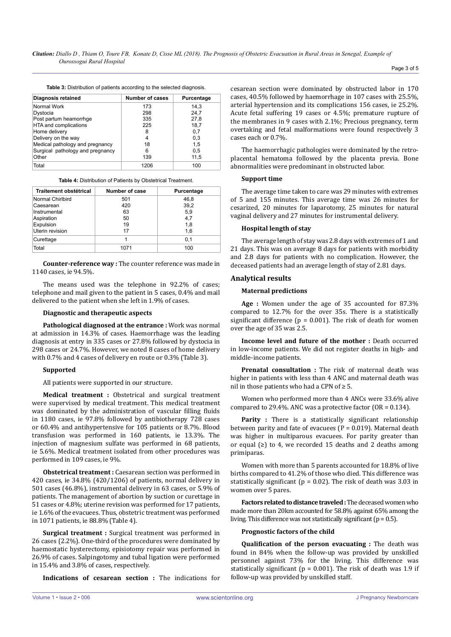**Table 3:** Distribution of patients according to the selected diagnosis.

| Diagnosis retained               | <b>Number of cases</b> | Purcentage |  |
|----------------------------------|------------------------|------------|--|
| Normal Work                      | 173                    | 14.3       |  |
| Dystocia                         | 298                    | 24.7       |  |
| Post partum heamorrhge           | 335                    | 27.8       |  |
| HTA and complications            | 225                    | 18,7       |  |
| Home delivery                    | 8                      | 0,7        |  |
| Delivery on the way              | 4                      | 0,3        |  |
| Medical pathology and pregnancy  | 18                     | 1.5        |  |
| Surgical pathology and pregnancy | 6                      | 0.5        |  |
| Other                            | 139                    | 11.5       |  |
| Total                            | 1206                   | 100        |  |

**Table 4:** Distribution of Patients by Obstetrical Treatment.

| Traitement obstétrical | Number of case | Purcentage |
|------------------------|----------------|------------|
| Normal Chirlbird       | 501            | 46,8       |
| Caesarean              | 420            | 39,2       |
| Instrumental           | 63             | 5,9        |
| Aspiration             | 50             | 4,7        |
| Expulsion              | 19             | 1,8        |
| Uterin revision        | 17             | 1,6        |
| Curettage              |                | 0,1        |
| Total                  | 1071           | 100        |

**Counter-reference way :** The counter reference was made in 1140 cases, ie 94.5%.

The means used was the telephone in 92.2% of cases; telephone and mail given to the patient in 5 cases, 0.4% and mail delivered to the patient when she left in 1.9% of cases.

#### **Diagnostic and therapeutic aspects**

**Pathological diagnosed at the entrance :** Work was normal at admission in 14.3% of cases. Haemorrhage was the leading diagnosis at entry in 335 cases or 27.8% followed by dystocia in 298 cases or 24.7%. However, we noted 8 cases of home delivery with 0.7% and 4 cases of delivery en route or 0.3% (Table 3).

#### **Supported**

All patients were supported in our structure.

**Medical treatment :** Obstetrical and surgical treatment were supervised by medical treatment. This medical treatment was dominated by the administration of vascular filling fluids in 1180 cases, ie 97.8% followed by antibiotherapy 728 cases or 60.4% and antihypertensive for 105 patients or 8.7%. Blood transfusion was performed in 160 patients, ie 13.3%. The injection of magnesium sulfate was performed in 68 patients, ie 5.6%. Medical treatment isolated from other procedures was performed in 109 cases, ie 9%.

**Obstetrical treatment :** Caesarean section was performed in 420 cases, ie 34.8% (420/1206) of patients, normal delivery in 501 cases (46.8%), instrumental delivery in 63 cases, or 5.9% of patients. The management of abortion by suction or curettage in 51 cases or 4.8%; uterine revision was performed for 17 patients, ie 1.6% of the evacuees. Thus, obstetric treatment was performed in 1071 patients, ie 88.8% (Table 4).

**Surgical treatment :** Surgical treatment was performed in 26 cases (2.2%). One-third of the procedures were dominated by haemostatic hysterectomy, episiotomy repair was performed in 26.9% of cases. Salpingotomy and tubal ligation were performed in 15.4% and 3.8% of cases, respectively.

**Indications of cesarean section :** The indications for

cesarean section were dominated by obstructed labor in 170 cases, 40.5% followed by haemorrhage in 107 cases with 25.5%, arterial hypertension and its complications 156 cases, ie 25.2%. Acute fetal suffering 19 cases or 4.5%; premature rupture of the membranes in 9 cases with 2.1%; Precious pregnancy, term overtaking and fetal malformations were found respectively 3 cases each or 0.7%.

The haemorrhagic pathologies were dominated by the retroplacental hematoma followed by the placenta previa. Bone abnormalities were predominant in obstructed labor.

#### **Support time**

The average time taken to care was 29 minutes with extremes of 5 and 155 minutes. This average time was 26 minutes for cesarized, 20 minutes for laparotomy, 25 minutes for natural vaginal delivery and 27 minutes for instrumental delivery.

#### **Hospital length of stay**

The average length of stay was 2.8 days with extremes of 1 and 21 days. This was on average 8 days for patients with morbidity and 2.8 days for patients with no complication. However, the deceased patients had an average length of stay of 2.81 days.

### **Analytical results**

#### **Maternal predictions**

**Age :** Women under the age of 35 accounted for 87.3% compared to 12.7% for the over 35s. There is a statistically significant difference ( $p = 0.001$ ). The risk of death for women over the age of 35 was 2.5.

**Income level and future of the mother :** Death occurred in low-income patients. We did not register deaths in high- and middle-income patients.

**Prenatal consultation :** The risk of maternal death was higher in patients with less than 4 ANC and maternal death was nil in those patients who had a CPN of  $\geq 5$ .

Women who performed more than 4 ANCs were 33.6% alive compared to 29.4%. ANC was a protective factor ( $OR = 0.134$ ).

Parity : There is a statistically significant relationship between parity and fate of evacuees ( $P = 0.019$ ). Maternal death was higher in multiparous evacuees. For parity greater than or equal  $(≥)$  to 4, we recorded 15 deaths and 2 deaths among primiparas.

Women with more than 5 parents accounted for 18.8% of live births compared to 41.2% of those who died. This difference was statistically significant ( $p = 0.02$ ). The risk of death was 3.03 in women over 5 pares.

**Factors related to distance traveled:** The deceased women who made more than 20km accounted for 58.8% against 65% among the living. This difference was not statistically significant ( $p = 0.5$ ).

#### **Prognostic factors of the child**

**Qualification of the person evacuating :** The death was found in 84% when the follow-up was provided by unskilled personnel against 73% for the living. This difference was statistically significant ( $p = 0.001$ ). The risk of death was 1.9 if follow-up was provided by unskilled staff.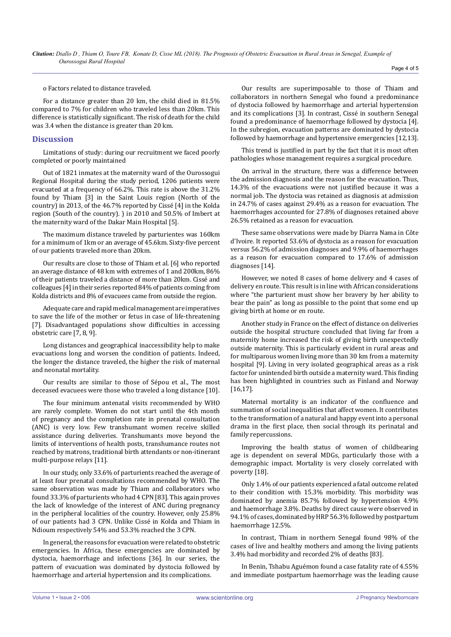o Factors related to distance traveled.

For a distance greater than 20 km, the child died in 81.5% compared to 7% for children who traveled less than 20km. This difference is statistically significant. The risk of death for the child was 3.4 when the distance is greater than 20 km.

# **Discussion**

Limitations of study: during our recruitment we faced poorly completed or poorly maintained

Out of 1821 inmates at the maternity ward of the Ourossogui Regional Hospital during the study period, 1206 patients were evacuated at a frequency of 66.2%. This rate is above the 31.2% found by Thiam [3] in the Saint Louis region (North of the country) in 2013, of the 46.7% reported by Cissé [4] in the Kolda region (South of the country). ) in 2010 and 50.5% of Imbert at the maternity ward of the Dakar Main Hospital [5].

The maximum distance traveled by parturientes was 160km for a minimum of 1km or an average of 45.6km. Sixty-five percent of our patients traveled more than 20km.

Our results are close to those of Thiam et al. [6] who reported an average distance of 48 km with extremes of 1 and 200km, 86% of their patients traveled a distance of more than 20km. Cissé and colleagues [4] in their series reported 84% of patients coming from Kolda districts and 8% of evacuees came from outside the region.

Adequate care and rapid medical management are imperatives to save the life of the mother or fetus in case of life-threatening [7]. Disadvantaged populations show difficulties in accessing obstetric care [7, 8, 9].

Long distances and geographical inaccessibility help to make evacuations long and worsen the condition of patients. Indeed, the longer the distance traveled, the higher the risk of maternal and neonatal mortality.

Our results are similar to those of Sépou et al., The most deceased evacuees were those who traveled a long distance [10].

The four minimum antenatal visits recommended by WHO are rarely complete. Women do not start until the 4th month of pregnancy and the completion rate in prenatal consultation (ANC) is very low. Few transhumant women receive skilled assistance during deliveries. Transhumants move beyond the limits of interventions of health posts, transhumance routes not reached by matrons, traditional birth attendants or non-itinerant multi-purpose relays [11].

In our study, only 33.6% of parturients reached the average of at least four prenatal consultations recommended by WHO. The same observation was made by Thiam and collaborators who found 33.3% of parturients who had 4 CPN [83]. This again proves the lack of knowledge of the interest of ANC during pregnancy in the peripheral localities of the country. However, only 25.8% of our patients had 3 CPN. Unlike Cissé in Kolda and Thiam in Ndioum respectively 54% and 53.3% reached the 3 CPN.

In general, the reasons for evacuation were related to obstetric emergencies. In Africa, these emergencies are dominated by dystocia, haemorrhage and infections [36]. In our series, the pattern of evacuation was dominated by dystocia followed by haemorrhage and arterial hypertension and its complications.

Our results are superimposable to those of Thiam and collaborators in northern Senegal who found a predominance of dystocia followed by haemorrhage and arterial hypertension and its complications [3]. In contrast, Cissé in southern Senegal found a predominance of haemorrhage followed by dystocia [4]. In the subregion, evacuation patterns are dominated by dystocia followed by haemorrhage and hypertensive emergencies [12,13].

This trend is justified in part by the fact that it is most often pathologies whose management requires a surgical procedure.

On arrival in the structure, there was a difference between the admission diagnosis and the reason for the evacuation. Thus, 14.3% of the evacuations were not justified because it was a normal job. The dystocia was retained as diagnosis at admission in 24.7% of cases against 29.4% as a reason for evacuation. The haemorrhages accounted for 27.8% of diagnoses retained above 26.5% retained as a reason for evacuation.

These same observations were made by Diarra Nama in Côte d'Ivoire. It reported 53.6% of dystocia as a reason for evacuation versus 56.2% of admission diagnoses and 9.9% of haemorrhages as a reason for evacuation compared to 17.6% of admission diagnoses [14].

However, we noted 8 cases of home delivery and 4 cases of delivery en route. This result is in line with African considerations where "the parturient must show her bravery by her ability to bear the pain" as long as possible to the point that some end up giving birth at home or en route.

Another study in France on the effect of distance on deliveries outside the hospital structure concluded that living far from a maternity home increased the risk of giving birth unexpectedly outside maternity. This is particularly evident in rural areas and for multiparous women living more than 30 km from a maternity hospital [9]. Living in very isolated geographical areas as a risk factor for unintended birth outside a maternity ward. This finding has been highlighted in countries such as Finland and Norway [16,17].

Maternal mortality is an indicator of the confluence and summation of social inequalities that affect women. It contributes to the transformation of a natural and happy event into a personal drama in the first place, then social through its perinatal and family repercussions.

Improving the health status of women of childbearing age is dependent on several MDGs, particularly those with a demographic impact. Mortality is very closely correlated with poverty [18].

Only 1.4% of our patients experienced a fatal outcome related to their condition with 15.3% morbidity. This morbidity was dominated by anemia 85.7% followed by hypertension 4.9% and haemorrhage 3.8%. Deaths by direct cause were observed in 94.1% of cases, dominated by HRP 56.3% followed by postpartum haemorrhage 12.5%.

In contrast, Thiam in northern Senegal found 98% of the cases of live and healthy mothers and among the living patients 3.4% had morbidity and recorded 2% of deaths [83].

In Benin, Tshabu Aguémon found a case fatality rate of 4.55% and immediate postpartum haemorrhage was the leading cause